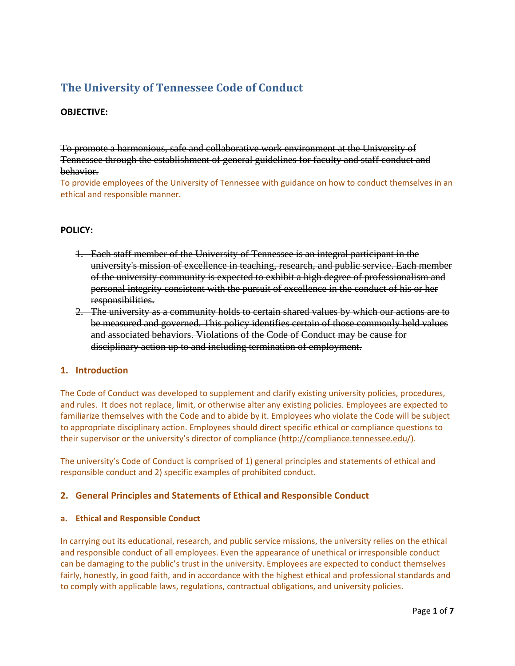# **The University of Tennessee Code of Conduct**

## **OBJECTIVE:**

To promote a harmonious, safe and collaborative work environment at the University of Tennessee through the establishment of general guidelines for faculty and staff conduct and behavior.

To provide employees of the University of Tennessee with guidance on how to conduct themselves in an ethical and responsible manner.

## **POLICY:**

- 1. Each staff member of the University of Tennessee is an integral participant in the university's mission of excellence in teaching, research, and public service. Each member of the university community is expected to exhibit a high degree of professionalism and personal integrity consistent with the pursuit of excellence in the conduct of his or her responsibilities.
- 2. The university as a community holds to certain shared values by which our actions are to be measured and governed. This policy identifies certain of those commonly held values and associated behaviors. Violations of the Code of Conduct may be cause for disciplinary action up to and including termination of employment.

## **1. Introduction**

The Code of Conduct was developed to supplement and clarify existing university policies, procedures, and rules. It does not replace, limit, or otherwise alter any existing policies. Employees are expected to familiarize themselves with the Code and to abide by it. Employees who violate the Code will be subject to appropriate disciplinary action. Employees should direct specific ethical or compliance questions to their supervisor or the university's director of compliance (http://compliance.tennessee.edu/).

The university's Code of Conduct is comprised of 1) general principles and statements of ethical and responsible conduct and 2) specific examples of prohibited conduct.

## **2. General Principles and Statements of Ethical and Responsible Conduct**

## **a. Ethical and Responsible Conduct**

In carrying out its educational, research, and public service missions, the university relies on the ethical and responsible conduct of all employees. Even the appearance of unethical or irresponsible conduct can be damaging to the public's trust in the university. Employees are expected to conduct themselves fairly, honestly, in good faith, and in accordance with the highest ethical and professional standards and to comply with applicable laws, regulations, contractual obligations, and university policies.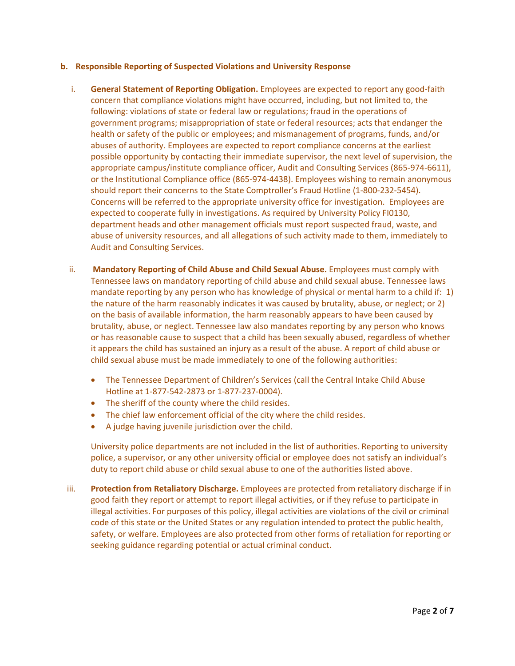#### **b. Responsible Reporting of Suspected Violations and University Response**

- i. **General Statement of Reporting Obligation.** Employees are expected to report any good‐faith concern that compliance violations might have occurred, including, but not limited to, the following: violations of state or federal law or regulations; fraud in the operations of government programs; misappropriation of state or federal resources; acts that endanger the health or safety of the public or employees; and mismanagement of programs, funds, and/or abuses of authority. Employees are expected to report compliance concerns at the earliest possible opportunity by contacting their immediate supervisor, the next level of supervision, the appropriate campus/institute compliance officer, Audit and Consulting Services (865‐974‐6611), or the Institutional Compliance office (865‐974‐4438). Employees wishing to remain anonymous should report their concerns to the State Comptroller's Fraud Hotline (1‐800‐232‐5454). Concerns will be referred to the appropriate university office for investigation. Employees are expected to cooperate fully in investigations. As required by University Policy FI0130, department heads and other management officials must report suspected fraud, waste, and abuse of university resources, and all allegations of such activity made to them, immediately to Audit and Consulting Services.
- ii. **Mandatory Reporting of Child Abuse and Child Sexual Abuse.** Employees must comply with Tennessee laws on mandatory reporting of child abuse and child sexual abuse. Tennessee laws mandate reporting by any person who has knowledge of physical or mental harm to a child if: 1) the nature of the harm reasonably indicates it was caused by brutality, abuse, or neglect; or 2) on the basis of available information, the harm reasonably appears to have been caused by brutality, abuse, or neglect. Tennessee law also mandates reporting by any person who knows or has reasonable cause to suspect that a child has been sexually abused, regardless of whether it appears the child has sustained an injury as a result of the abuse. A report of child abuse or child sexual abuse must be made immediately to one of the following authorities:
	- The Tennessee Department of Children's Services (call the Central Intake Child Abuse Hotline at 1‐877‐542‐2873 or 1‐877‐237‐0004).
	- The sheriff of the county where the child resides.
	- The chief law enforcement official of the city where the child resides.
	- A judge having juvenile jurisdiction over the child.

University police departments are not included in the list of authorities. Reporting to university police, a supervisor, or any other university official or employee does not satisfy an individual's duty to report child abuse or child sexual abuse to one of the authorities listed above.

iii. **Protection from Retaliatory Discharge.** Employees are protected from retaliatory discharge if in good faith they report or attempt to report illegal activities, or if they refuse to participate in illegal activities. For purposes of this policy, illegal activities are violations of the civil or criminal code of this state or the United States or any regulation intended to protect the public health, safety, or welfare. Employees are also protected from other forms of retaliation for reporting or seeking guidance regarding potential or actual criminal conduct.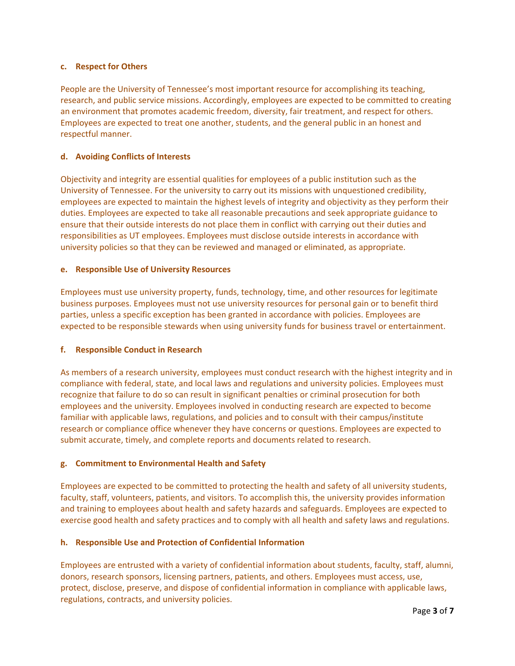#### **c. Respect for Others**

People are the University of Tennessee's most important resource for accomplishing its teaching, research, and public service missions. Accordingly, employees are expected to be committed to creating an environment that promotes academic freedom, diversity, fair treatment, and respect for others. Employees are expected to treat one another, students, and the general public in an honest and respectful manner.

## **d. Avoiding Conflicts of Interests**

Objectivity and integrity are essential qualities for employees of a public institution such as the University of Tennessee. For the university to carry out its missions with unquestioned credibility, employees are expected to maintain the highest levels of integrity and objectivity as they perform their duties. Employees are expected to take all reasonable precautions and seek appropriate guidance to ensure that their outside interests do not place them in conflict with carrying out their duties and responsibilities as UT employees. Employees must disclose outside interests in accordance with university policies so that they can be reviewed and managed or eliminated, as appropriate.

## **e. Responsible Use of University Resources**

Employees must use university property, funds, technology, time, and other resources for legitimate business purposes. Employees must not use university resources for personal gain or to benefit third parties, unless a specific exception has been granted in accordance with policies. Employees are expected to be responsible stewards when using university funds for business travel or entertainment.

## **f. Responsible Conduct in Research**

As members of a research university, employees must conduct research with the highest integrity and in compliance with federal, state, and local laws and regulations and university policies. Employees must recognize that failure to do so can result in significant penalties or criminal prosecution for both employees and the university. Employees involved in conducting research are expected to become familiar with applicable laws, regulations, and policies and to consult with their campus/institute research or compliance office whenever they have concerns or questions. Employees are expected to submit accurate, timely, and complete reports and documents related to research.

## **g. Commitment to Environmental Health and Safety**

Employees are expected to be committed to protecting the health and safety of all university students, faculty, staff, volunteers, patients, and visitors. To accomplish this, the university provides information and training to employees about health and safety hazards and safeguards. Employees are expected to exercise good health and safety practices and to comply with all health and safety laws and regulations.

## **h. Responsible Use and Protection of Confidential Information**

Employees are entrusted with a variety of confidential information about students, faculty, staff, alumni, donors, research sponsors, licensing partners, patients, and others. Employees must access, use, protect, disclose, preserve, and dispose of confidential information in compliance with applicable laws, regulations, contracts, and university policies.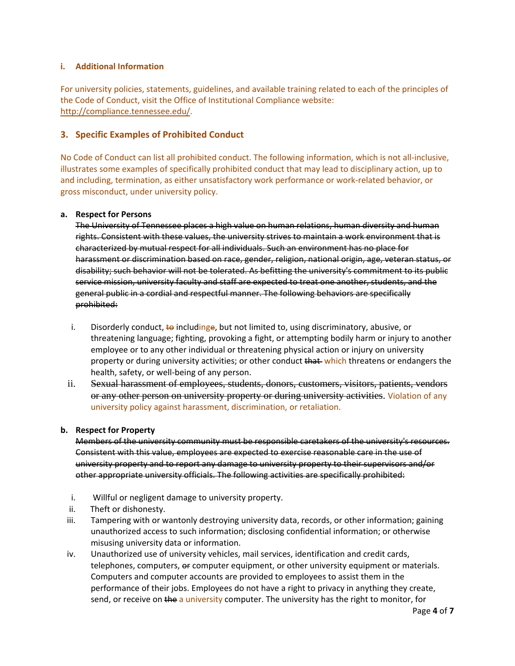## **i. Additional Information**

For university policies, statements, guidelines, and available training related to each of the principles of the Code of Conduct, visit the Office of Institutional Compliance website: http://compliance.tennessee.edu/.

## **3. Specific Examples of Prohibited Conduct**

No Code of Conduct can list all prohibited conduct. The following information, which is not all‐inclusive, illustrates some examples of specifically prohibited conduct that may lead to disciplinary action, up to and including, termination, as either unsatisfactory work performance or work‐related behavior, or gross misconduct, under university policy.

#### **a. Respect for Persons**

The University of Tennessee places a high value on human relations, human diversity and human rights. Consistent with these values, the university strives to maintain a work environment that is characterized by mutual respect for all individuals. Such an environment has no place for harassment or discrimination based on race, gender, religion, national origin, age, veteran status, or disability; such behavior will not be tolerated. As befitting the university's commitment to its public service mission, university faculty and staff are expected to treat one another, students, and the general public in a cordial and respectful manner. The following behaviors are specifically prohibited:

- i. Disorderly conduct,  $\frac{1}{2}$  includinge, but not limited to, using discriminatory, abusive, or threatening language; fighting, provoking a fight, or attempting bodily harm or injury to another employee or to any other individual or threatening physical action or injury on university property or during university activities; or other conduct that which threatens or endangers the health, safety, or well-being of any person.
- ii. Sexual harassment of employees, students, donors, customers, visitors, patients, vendors or any other person on university property or during university activities. Violation of any university policy against harassment, discrimination, or retaliation.

## **b. Respect for Property**

Members of the university community must be responsible caretakers of the university's resources. Consistent with this value, employees are expected to exercise reasonable care in the use of university property and to report any damage to university property to their supervisors and/or other appropriate university officials. The following activities are specifically prohibited:

- i. Willful or negligent damage to university property.
- ii. Theft or dishonesty.
- iii. Tampering with or wantonly destroying university data, records, or other information; gaining unauthorized access to such information; disclosing confidential information; or otherwise misusing university data or information.
- iv. Unauthorized use of university vehicles, mail services, identification and credit cards, telephones, computers, or computer equipment, or other university equipment or materials. Computers and computer accounts are provided to employees to assist them in the performance of their jobs. Employees do not have a right to privacy in anything they create, send, or receive on the a university computer. The university has the right to monitor, for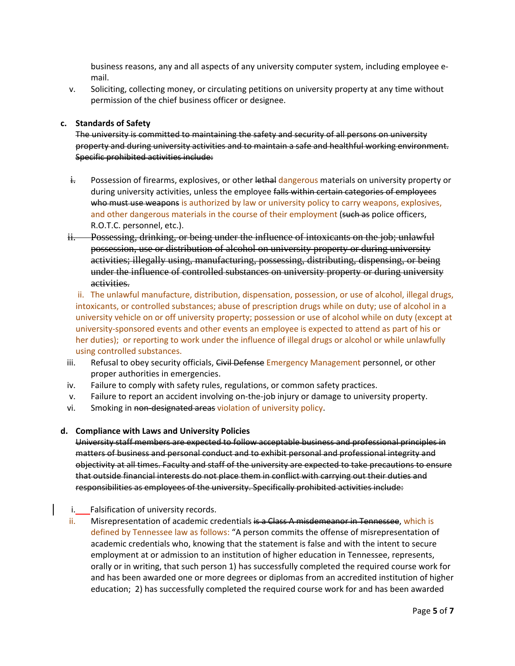business reasons, any and all aspects of any university computer system, including employee e‐ mail.

v. Soliciting, collecting money, or circulating petitions on university property at any time without permission of the chief business officer or designee.

#### **c. Standards of Safety**

The university is committed to maintaining the safety and security of all persons on university property and during university activities and to maintain a safe and healthful working environment. Specific prohibited activities include:

- $\frac{1}{2}$ . Possession of firearms, explosives, or other lethal dangerous materials on university property or during university activities, unless the employee falls within certain categories of employees who must use weapons is authorized by law or university policy to carry weapons, explosives, and other dangerous materials in the course of their employment (such as police officers, R.O.T.C. personnel, etc.).
- ii. Possessing, drinking, or being under the influence of intoxicants on the job; unlawful possession, use or distribution of alcohol on university property or during university activities; illegally using, manufacturing, possessing, distributing, dispensing, or being under the influence of controlled substances on university property or during university activities.

ii. The unlawful manufacture, distribution, dispensation, possession, or use of alcohol, illegal drugs, intoxicants, or controlled substances; abuse of prescription drugs while on duty; use of alcohol in a university vehicle on or off university property; possession or use of alcohol while on duty (except at university‐sponsored events and other events an employee is expected to attend as part of his or her duties); or reporting to work under the influence of illegal drugs or alcohol or while unlawfully using controlled substances.

- iii. Refusal to obey security officials, Civil Defense Emergency Management personnel, or other proper authorities in emergencies.
- iv. Failure to comply with safety rules, regulations, or common safety practices.
- v. Failure to report an accident involving on-the-job injury or damage to university property.
- vi. Smoking in non-designated areas violation of university policy.

#### **d. Compliance with Laws and University Policies**

University staff members are expected to follow acceptable business and professional principles in matters of business and personal conduct and to exhibit personal and professional integrity and objectivity at all times. Faculty and staff of the university are expected to take precautions to ensure that outside financial interests do not place them in conflict with carrying out their duties and responsibilities as employees of the university. Specifically prohibited activities include:

- i. Falsification of university records.
- ii. Misrepresentation of academic credentials is a Class A misdemeanor in Tennessee, which is defined by Tennessee law as follows: "A person commits the offense of misrepresentation of academic credentials who, knowing that the statement is false and with the intent to secure employment at or admission to an institution of higher education in Tennessee, represents, orally or in writing, that such person 1) has successfully completed the required course work for and has been awarded one or more degrees or diplomas from an accredited institution of higher education; 2) has successfully completed the required course work for and has been awarded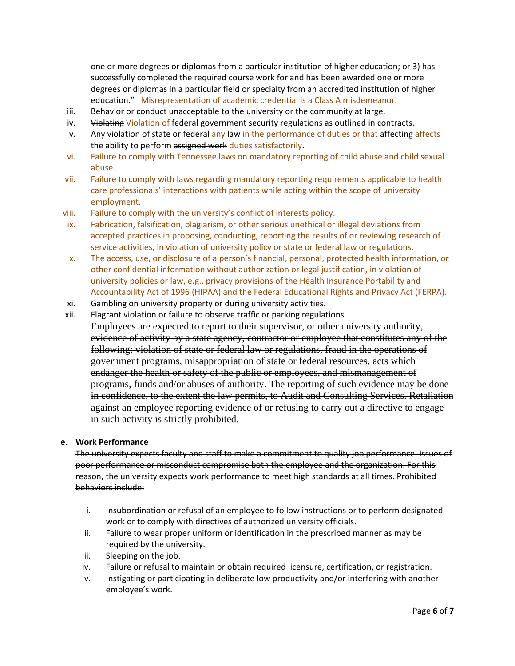one or more degrees or diplomas from a particular institution of higher education; or 3) has successfully completed the required course work for and has been awarded one or more degrees or diplomas in a particular field or specialty from an accredited institution of higher education." Misrepresentation of academic credential is a Class A misdemeanor.

- iii. Behavior or conduct unacceptable to the university or the community at large.
- iv. Violating Violation of federal government security regulations as outlined in contracts.
- v. Any violation of state or federal any law in the performance of duties or that affecting affects the ability to perform assigned work duties satisfactorily.
- vi. Failure to comply with Tennessee laws on mandatory reporting of child abuse and child sexual abuse.
- vii. Failure to comply with laws regarding mandatory reporting requirements applicable to health care professionals' interactions with patients while acting within the scope of university employment.
- viii. Failure to comply with the university's conflict of interests policy.
- ix. Fabrication, falsification, plagiarism, or other serious unethical or illegal deviations from accepted practices in proposing, conducting, reporting the results of or reviewing research of service activities, in violation of university policy or state or federal law or regulations.
- x. The access, use, or disclosure of a person's financial, personal, protected health information, or other confidential information without authorization or legal justification, in violation of university policies or law, e.g., privacy provisions of the Health Insurance Portability and Accountability Act of 1996 (HIPAA) and the Federal Educational Rights and Privacy Act (FERPA).
- xi. Gambling on university property or during university activities.
- xii. Flagrant violation or failure to observe traffic or parking regulations. Employees are expected to report to their supervisor, or other university authority, evidence of activity by a state agency, contractor or employee that constitutes any of the following: violation of state or federal law or regulations, fraud in the operations of government programs, misappropriation of state or federal resources, acts which endanger the health or safety of the public or employees, and mismanagement of programs, funds and/or abuses of authority. The reporting of such evidence may be done in confidence, to the extent the law permits, to Audit and Consulting Services. Retaliation against an employee reporting evidence of or refusing to carry out a directive to engage in such activity is strictly prohibited.

## **e. Work Performance**

The university expects faculty and staff to make a commitment to quality job performance. Issues of poor performance or misconduct compromise both the employee and the organization. For this reason, the university expects work performance to meet high standards at all times. Prohibited behaviors include:

- i. Insubordination or refusal of an employee to follow instructions or to perform designated work or to comply with directives of authorized university officials.
- ii. Failure to wear proper uniform or identification in the prescribed manner as may be required by the university.
- iii. Sleeping on the job.
- iv. Failure or refusal to maintain or obtain required licensure, certification, or registration.
- v. Instigating or participating in deliberate low productivity and/or interfering with another employee's work.